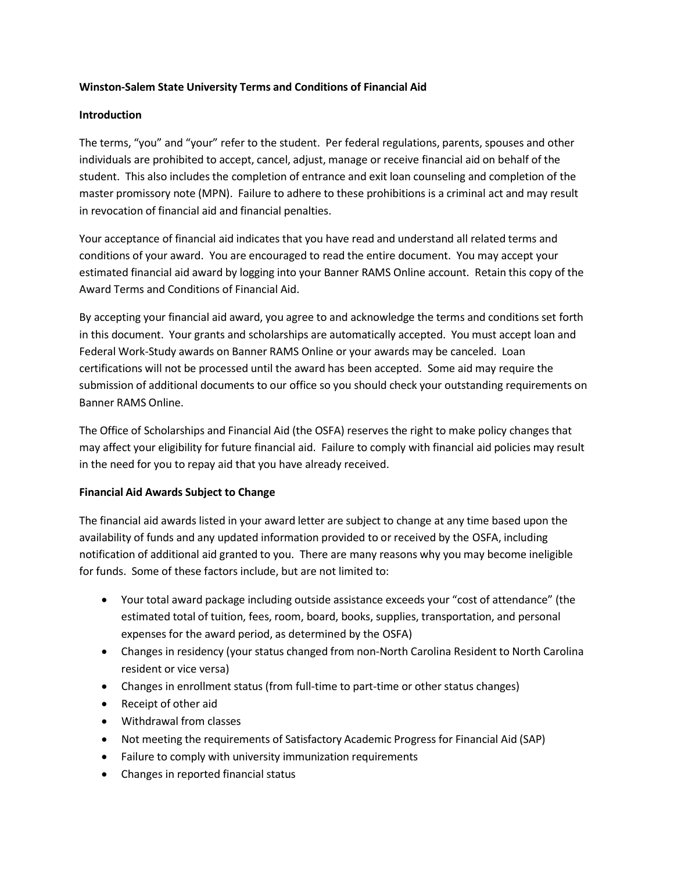# **Winston-Salem State University Terms and Conditions of Financial Aid**

# **Introduction**

The terms, "you" and "your" refer to the student. Per federal regulations, parents, spouses and other individuals are prohibited to accept, cancel, adjust, manage or receive financial aid on behalf of the student. This also includes the completion of entrance and exit loan counseling and completion of the master promissory note (MPN). Failure to adhere to these prohibitions is a criminal act and may result in revocation of financial aid and financial penalties.

Your acceptance of financial aid indicates that you have read and understand all related terms and conditions of your award. You are encouraged to read the entire document. You may accept your estimated financial aid award by logging into your Banner RAMS Online account. Retain this copy of the Award Terms and Conditions of Financial Aid.

By accepting your financial aid award, you agree to and acknowledge the terms and conditions set forth in this document. Your grants and scholarships are automatically accepted. You must accept loan and Federal Work-Study awards on Banner RAMS Online or your awards may be canceled. Loan certifications will not be processed until the award has been accepted. Some aid may require the submission of additional documents to our office so you should check your outstanding requirements on Banner RAMS Online.

The Office of Scholarships and Financial Aid (the OSFA) reserves the right to make policy changes that may affect your eligibility for future financial aid. Failure to comply with financial aid policies may result in the need for you to repay aid that you have already received.

## **Financial Aid Awards Subject to Change**

The financial aid awards listed in your award letter are subject to change at any time based upon the availability of funds and any updated information provided to or received by the OSFA, including notification of additional aid granted to you. There are many reasons why you may become ineligible for funds. Some of these factors include, but are not limited to:

- Your total award package including outside assistance exceeds your "cost of attendance" (the estimated total of tuition, fees, room, board, books, supplies, transportation, and personal expenses for the award period, as determined by the OSFA)
- Changes in residency (your status changed from non-North Carolina Resident to North Carolina resident or vice versa)
- Changes in enrollment status (from full-time to part-time or other status changes)
- Receipt of other aid
- Withdrawal from classes
- Not meeting the requirements of Satisfactory Academic Progress for Financial Aid (SAP)
- Failure to comply with university immunization requirements
- Changes in reported financial status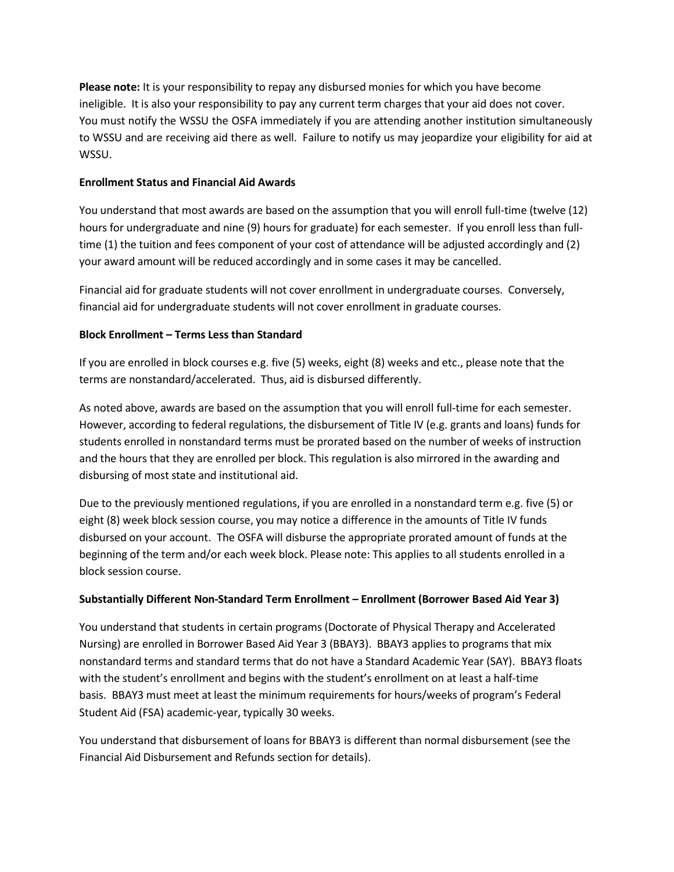**Please note:** It is your responsibility to repay any disbursed monies for which you have become ineligible. It is also your responsibility to pay any current term charges that your aid does not cover. You must notify the WSSU the OSFA immediately if you are attending another institution simultaneously to WSSU and are receiving aid there as well. Failure to notify us may jeopardize your eligibility for aid at WSSU.

# **Enrollment Status and Financial Aid Awards**

You understand that most awards are based on the assumption that you will enroll full-time (twelve (12) hours for undergraduate and nine (9) hours for graduate) for each semester. If you enroll less than fulltime (1) the tuition and fees component of your cost of attendance will be adjusted accordingly and (2) your award amount will be reduced accordingly and in some cases it may be cancelled.

Financial aid for graduate students will not cover enrollment in undergraduate courses. Conversely, financial aid for undergraduate students will not cover enrollment in graduate courses.

# **Block Enrollment – Terms Less than Standard**

If you are enrolled in block courses e.g. five (5) weeks, eight (8) weeks and etc., please note that the terms are nonstandard/accelerated. Thus, aid is disbursed differently.

As noted above, awards are based on the assumption that you will enroll full-time for each semester. However, according to federal regulations, the disbursement of Title IV (e.g. grants and loans) funds for students enrolled in nonstandard terms must be prorated based on the number of weeks of instruction and the hours that they are enrolled per block. This regulation is also mirrored in the awarding and disbursing of most state and institutional aid.

Due to the previously mentioned regulations, if you are enrolled in a nonstandard term e.g. five (5) or eight (8) week block session course, you may notice a difference in the amounts of Title IV funds disbursed on your account. The OSFA will disburse the appropriate prorated amount of funds at the beginning of the term and/or each week block. Please note: This applies to all students enrolled in a block session course.

# **Substantially Different Non-Standard Term Enrollment – Enrollment (Borrower Based Aid Year 3)**

You understand that students in certain programs (Doctorate of Physical Therapy and Accelerated Nursing) are enrolled in Borrower Based Aid Year 3 (BBAY3). BBAY3 applies to programs that mix nonstandard terms and standard terms that do not have a Standard Academic Year (SAY). BBAY3 floats with the student's enrollment and begins with the student's enrollment on at least a half-time basis. BBAY3 must meet at least the minimum requirements for hours/weeks of program's Federal Student Aid (FSA) academic-year, typically 30 weeks.

You understand that disbursement of loans for BBAY3 is different than normal disbursement (see the Financial Aid Disbursement and Refunds section for details).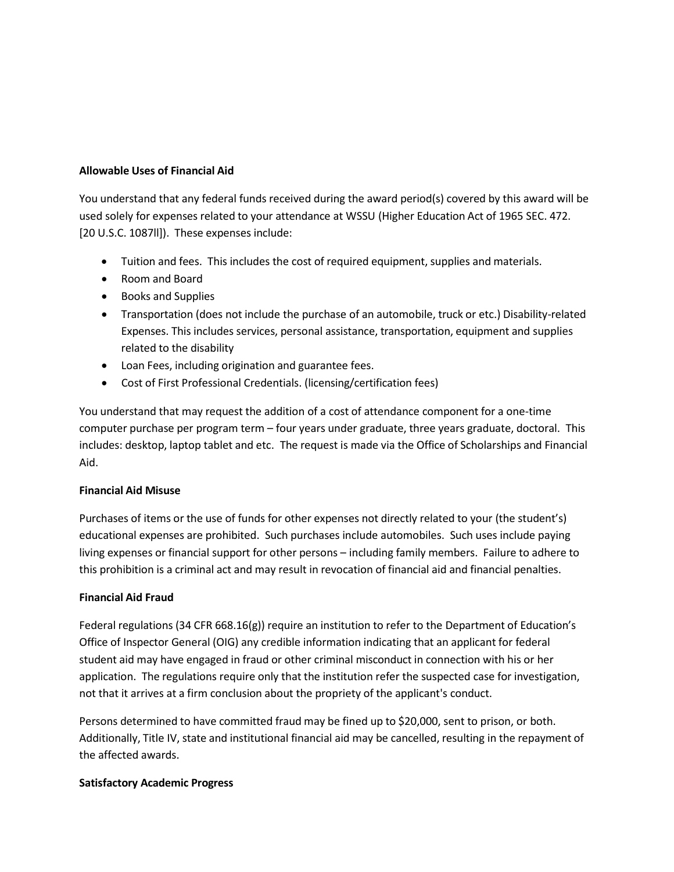#### **Allowable Uses of Financial Aid**

You understand that any federal funds received during the award period(s) covered by this award will be used solely for expenses related to your attendance at WSSU (Higher Education Act of 1965 SEC. 472. [20 U.S.C. 1087ll]). These expenses include:

- Tuition and fees. This includes the cost of required equipment, supplies and materials.
- Room and Board
- Books and Supplies
- Transportation (does not include the purchase of an automobile, truck or etc.) Disability-related Expenses. This includes services, personal assistance, transportation, equipment and supplies related to the disability
- Loan Fees, including origination and guarantee fees.
- Cost of First Professional Credentials. (licensing/certification fees)

You understand that may request the addition of a cost of attendance component for a one-time computer purchase per program term – four years under graduate, three years graduate, doctoral. This includes: desktop, laptop tablet and etc. The request is made via the Office of Scholarships and Financial Aid.

## **Financial Aid Misuse**

Purchases of items or the use of funds for other expenses not directly related to your (the student's) educational expenses are prohibited. Such purchases include automobiles. Such uses include paying living expenses or financial support for other persons – including family members. Failure to adhere to this prohibition is a criminal act and may result in revocation of financial aid and financial penalties.

## **Financial Aid Fraud**

Federal regulations (34 CFR 668.16(g)) require an institution to refer to the Department of Education's Office of Inspector General (OIG) any credible information indicating that an applicant for federal student aid may have engaged in fraud or other criminal misconduct in connection with his or her application. The regulations require only that the institution refer the suspected case for investigation, not that it arrives at a firm conclusion about the propriety of the applicant's conduct.

Persons determined to have committed fraud may be fined up to \$20,000, sent to prison, or both. Additionally, Title IV, state and institutional financial aid may be cancelled, resulting in the repayment of the affected awards.

## **Satisfactory Academic Progress**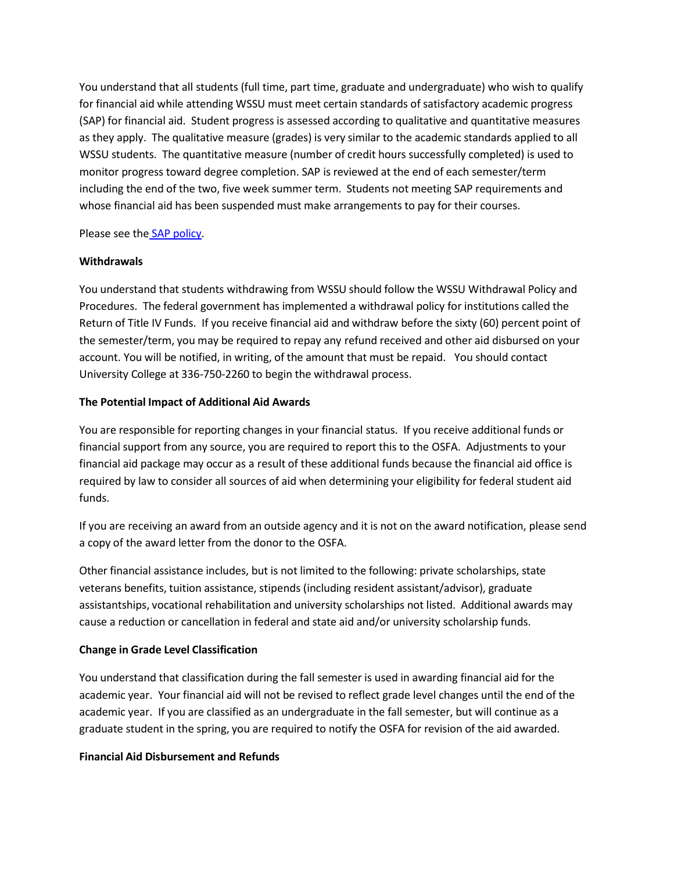You understand that all students (full time, part time, graduate and undergraduate) who wish to qualify for financial aid while attending WSSU must meet certain standards of satisfactory academic progress (SAP) for financial aid. Student progress is assessed according to qualitative and quantitative measures as they apply. The qualitative measure (grades) is very similar to the academic standards applied to all WSSU students. The quantitative measure (number of credit hours successfully completed) is used to monitor progress toward degree completion. SAP is reviewed at the end of each semester/term including the end of the two, five week summer term. Students not meeting SAP requirements and whose financial aid has been suspended must make arrangements to pay for their courses.

Please see the [SAP policy.](http://www.wssu.edu/administration/legal-affairs/policies/academics/sap-fin-aid-policy.pdf)

#### **Withdrawals**

You understand that students withdrawing from WSSU should follow the WSSU Withdrawal Policy and Procedures. The federal government has implemented a withdrawal policy for institutions called the Return of Title IV Funds. If you receive financial aid and withdraw before the sixty (60) percent point of the semester/term, you may be required to repay any refund received and other aid disbursed on your account. You will be notified, in writing, of the amount that must be repaid. You should contact University College at 336-750-2260 to begin the withdrawal process.

#### **The Potential Impact of Additional Aid Awards**

You are responsible for reporting changes in your financial status. If you receive additional funds or financial support from any source, you are required to report this to the OSFA. Adjustments to your financial aid package may occur as a result of these additional funds because the financial aid office is required by law to consider all sources of aid when determining your eligibility for federal student aid funds.

If you are receiving an award from an outside agency and it is not on the award notification, please send a copy of the award letter from the donor to the OSFA.

Other financial assistance includes, but is not limited to the following: private scholarships, state veterans benefits, tuition assistance, stipends (including resident assistant/advisor), graduate assistantships, vocational rehabilitation and university scholarships not listed. Additional awards may cause a reduction or cancellation in federal and state aid and/or university scholarship funds.

## **Change in Grade Level Classification**

You understand that classification during the fall semester is used in awarding financial aid for the academic year. Your financial aid will not be revised to reflect grade level changes until the end of the academic year. If you are classified as an undergraduate in the fall semester, but will continue as a graduate student in the spring, you are required to notify the OSFA for revision of the aid awarded.

# **Financial Aid Disbursement and Refunds**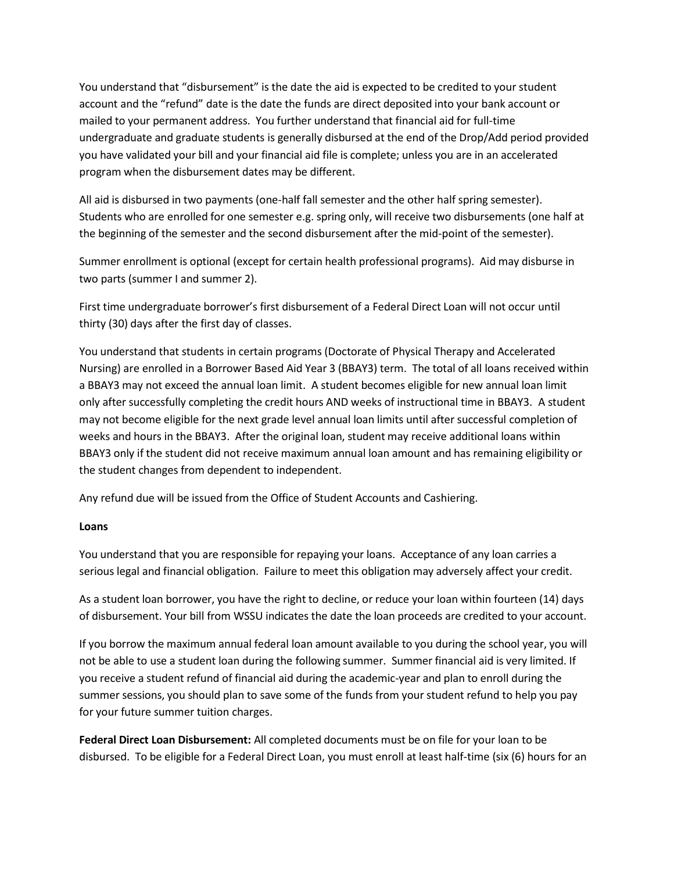You understand that "disbursement" is the date the aid is expected to be credited to your student account and the "refund" date is the date the funds are direct deposited into your bank account or mailed to your permanent address. You further understand that financial aid for full-time undergraduate and graduate students is generally disbursed at the end of the Drop/Add period provided you have validated your bill and your financial aid file is complete; unless you are in an accelerated program when the disbursement dates may be different.

All aid is disbursed in two payments (one-half fall semester and the other half spring semester). Students who are enrolled for one semester e.g. spring only, will receive two disbursements (one half at the beginning of the semester and the second disbursement after the mid-point of the semester).

Summer enrollment is optional (except for certain health professional programs). Aid may disburse in two parts (summer I and summer 2).

First time undergraduate borrower's first disbursement of a Federal Direct Loan will not occur until thirty (30) days after the first day of classes.

You understand that students in certain programs (Doctorate of Physical Therapy and Accelerated Nursing) are enrolled in a Borrower Based Aid Year 3 (BBAY3) term. The total of all loans received within a BBAY3 may not exceed the annual loan limit. A student becomes eligible for new annual loan limit only after successfully completing the credit hours AND weeks of instructional time in BBAY3. A student may not become eligible for the next grade level annual loan limits until after successful completion of weeks and hours in the BBAY3. After the original loan, student may receive additional loans within BBAY3 only if the student did not receive maximum annual loan amount and has remaining eligibility or the student changes from dependent to independent.

Any refund due will be issued from the Office of Student Accounts and Cashiering.

## **Loans**

You understand that you are responsible for repaying your loans. Acceptance of any loan carries a serious legal and financial obligation. Failure to meet this obligation may adversely affect your credit.

As a student loan borrower, you have the right to decline, or reduce your loan within fourteen (14) days of disbursement. Your bill from WSSU indicates the date the loan proceeds are credited to your account.

If you borrow the maximum annual federal loan amount available to you during the school year, you will not be able to use a student loan during the following summer. Summer financial aid is very limited. If you receive a student refund of financial aid during the academic-year and plan to enroll during the summer sessions, you should plan to save some of the funds from your student refund to help you pay for your future summer tuition charges.

**Federal Direct Loan Disbursement:** All completed documents must be on file for your loan to be disbursed. To be eligible for a Federal Direct Loan, you must enroll at least half-time (six (6) hours for an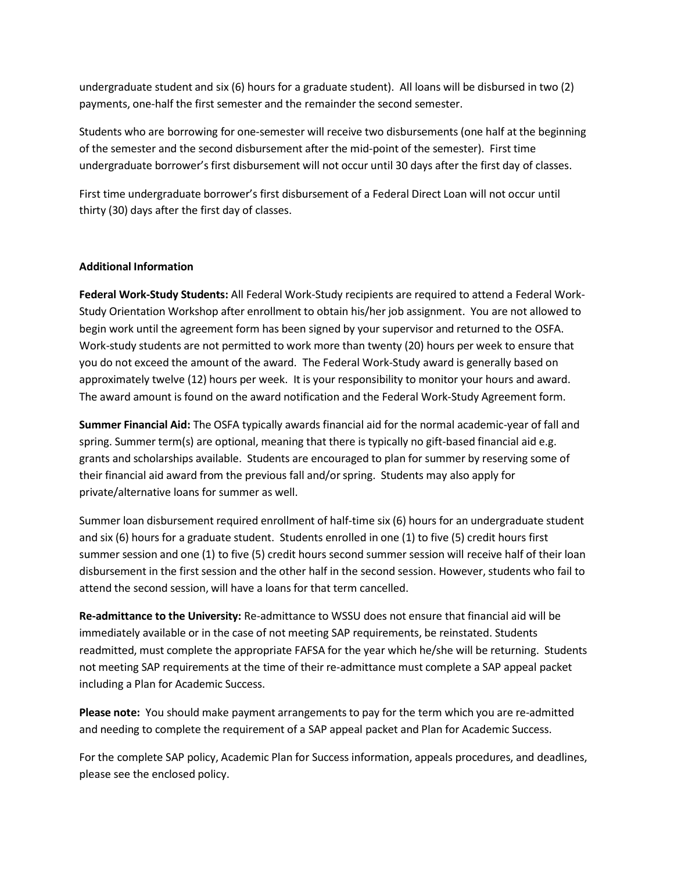undergraduate student and six (6) hours for a graduate student). All loans will be disbursed in two (2) payments, one-half the first semester and the remainder the second semester.

Students who are borrowing for one-semester will receive two disbursements (one half at the beginning of the semester and the second disbursement after the mid-point of the semester). First time undergraduate borrower's first disbursement will not occur until 30 days after the first day of classes.

First time undergraduate borrower's first disbursement of a Federal Direct Loan will not occur until thirty (30) days after the first day of classes.

# **Additional Information**

**Federal Work-Study Students:** All Federal Work-Study recipients are required to attend a Federal Work-Study Orientation Workshop after enrollment to obtain his/her job assignment. You are not allowed to begin work until the agreement form has been signed by your supervisor and returned to the OSFA. Work-study students are not permitted to work more than twenty (20) hours per week to ensure that you do not exceed the amount of the award. The Federal Work-Study award is generally based on approximately twelve (12) hours per week. It is your responsibility to monitor your hours and award. The award amount is found on the award notification and the Federal Work-Study Agreement form.

**Summer Financial Aid:** The OSFA typically awards financial aid for the normal academic-year of fall and spring. Summer term(s) are optional, meaning that there is typically no gift-based financial aid e.g. grants and scholarships available. Students are encouraged to plan for summer by reserving some of their financial aid award from the previous fall and/orspring. Students may also apply for private/alternative loans for summer as well.

Summer loan disbursement required enrollment of half-time six (6) hours for an undergraduate student and six (6) hours for a graduate student. Students enrolled in one (1) to five (5) credit hours first summer session and one (1) to five (5) credit hours second summer session will receive half of their loan disbursement in the first session and the other half in the second session. However, students who fail to attend the second session, will have a loans for that term cancelled.

**Re-admittance to the University:** Re-admittance to WSSU does not ensure that financial aid will be immediately available or in the case of not meeting SAP requirements, be reinstated. Students readmitted, must complete the appropriate FAFSA for the year which he/she will be returning. Students not meeting SAP requirements at the time of their re-admittance must complete a SAP appeal packet including a Plan for Academic Success.

**Please note:** You should make payment arrangements to pay for the term which you are re-admitted and needing to complete the requirement of a SAP appeal packet and Plan for Academic Success.

For the complete SAP policy, Academic Plan for Success information, appeals procedures, and deadlines, please see the enclosed policy.